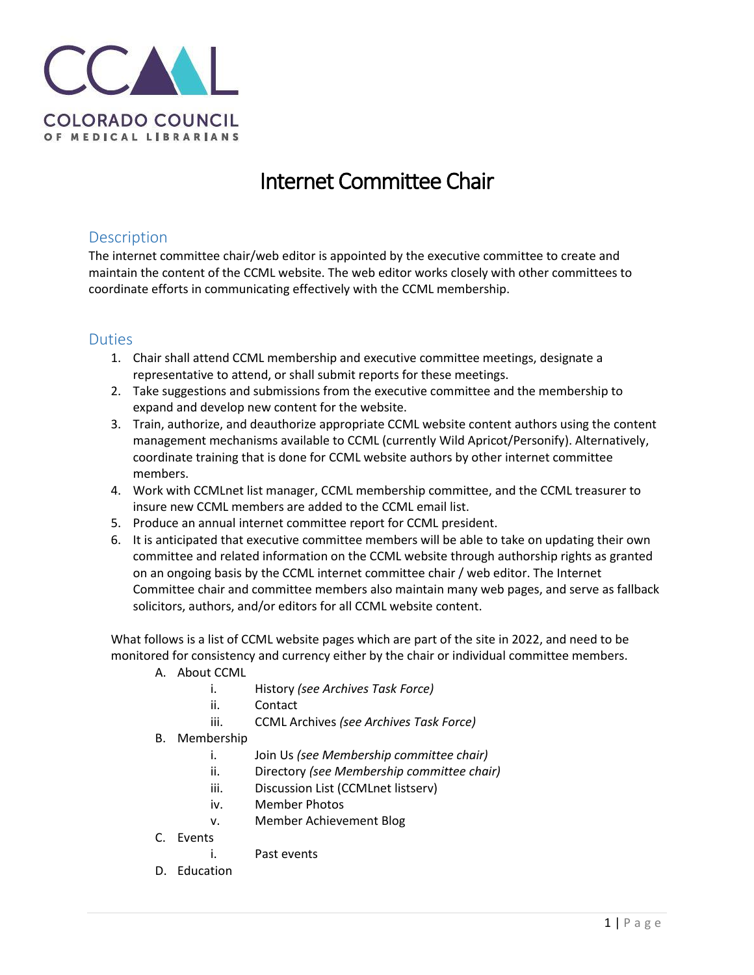

## Internet Committee Chair

## **Description**

The internet committee chair/web editor is appointed by the executive committee to create and maintain the content of the CCML website. The web editor works closely with other committees to coordinate efforts in communicating effectively with the CCML membership.

## Duties

- 1. Chair shall attend CCML membership and executive committee meetings, designate a representative to attend, or shall submit reports for these meetings.
- 2. Take suggestions and submissions from the executive committee and the membership to expand and develop new content for the website.
- 3. Train, authorize, and deauthorize appropriate CCML website content authors using the content management mechanisms available to CCML (currently Wild Apricot/Personify). Alternatively, coordinate training that is done for CCML website authors by other internet committee members.
- 4. Work with CCMLnet list manager, CCML membership committee, and the CCML treasurer to insure new CCML members are added to the CCML email list.
- 5. Produce an annual internet committee report for CCML president.
- 6. It is anticipated that executive committee members will be able to take on updating their own committee and related information on the CCML website through authorship rights as granted on an ongoing basis by the CCML internet committee chair / web editor. The Internet Committee chair and committee members also maintain many web pages, and serve as fallback solicitors, authors, and/or editors for all CCML website content.

What follows is a list of CCML website pages which are part of the site in 2022, and need to be monitored for consistency and currency either by the chair or individual committee members.

- A. About CCML
	- i. History *(see Archives Task Force)*
	- ii. Contact
	- iii. CCML Archives *(see Archives Task Force)*
- B. Membership
	- i. Join Us *(see Membership committee chair)*
	- ii. Directory *(see Membership committee chair)*
	- iii. Discussion List (CCMLnet listserv)
	- iv. Member Photos
	- v. Member Achievement Blog
- C. Events
	- i. Past events
- D. Education